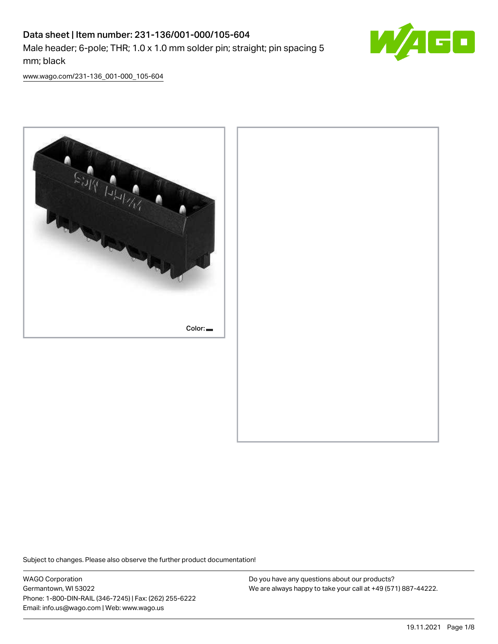# Data sheet | Item number: 231-136/001-000/105-604 Male header; 6-pole; THR; 1.0 x 1.0 mm solder pin; straight; pin spacing 5 mm; black



[www.wago.com/231-136\\_001-000\\_105-604](http://www.wago.com/231-136_001-000_105-604)



Subject to changes. Please also observe the further product documentation!

WAGO Corporation Germantown, WI 53022 Phone: 1-800-DIN-RAIL (346-7245) | Fax: (262) 255-6222 Email: info.us@wago.com | Web: www.wago.us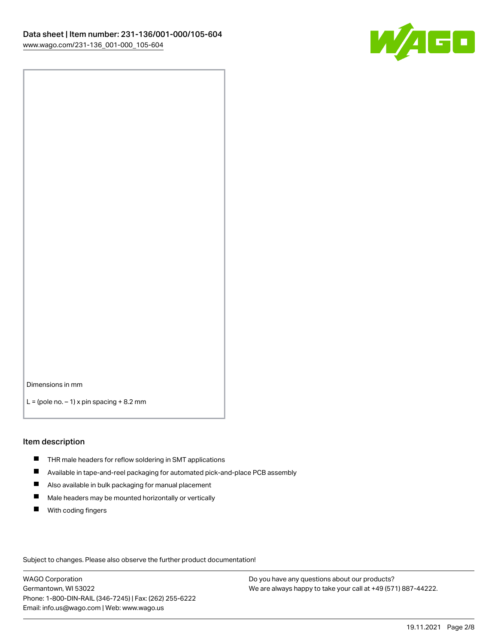

Dimensions in mm

 $L =$  (pole no.  $-1$ ) x pin spacing  $+8.2$  mm

#### Item description

- **THR** male headers for reflow soldering in SMT applications
- $\blacksquare$ Available in tape-and-reel packaging for automated pick-and-place PCB assembly
- $\blacksquare$ Also available in bulk packaging for manual placement
- $\blacksquare$ Male headers may be mounted horizontally or vertically
- **With coding fingers**

Subject to changes. Please also observe the further product documentation!

WAGO Corporation Germantown, WI 53022 Phone: 1-800-DIN-RAIL (346-7245) | Fax: (262) 255-6222 Email: info.us@wago.com | Web: www.wago.us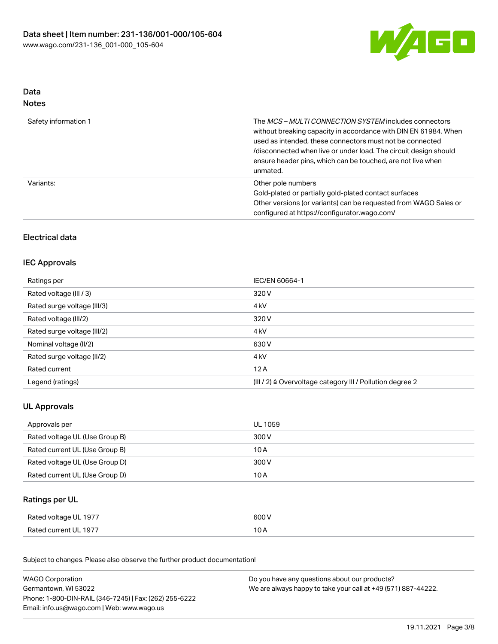

## Data Notes

| Safety information 1 | The <i>MCS – MULTI CONNECTION SYSTEM</i> includes connectors<br>without breaking capacity in accordance with DIN EN 61984. When<br>used as intended, these connectors must not be connected<br>/disconnected when live or under load. The circuit design should<br>ensure header pins, which can be touched, are not live when<br>unmated. |
|----------------------|--------------------------------------------------------------------------------------------------------------------------------------------------------------------------------------------------------------------------------------------------------------------------------------------------------------------------------------------|
| Variants:            | Other pole numbers<br>Gold-plated or partially gold-plated contact surfaces<br>Other versions (or variants) can be requested from WAGO Sales or<br>configured at https://configurator.wago.com/                                                                                                                                            |

# Electrical data

### IEC Approvals

| Ratings per                 | IEC/EN 60664-1                                                       |
|-----------------------------|----------------------------------------------------------------------|
| Rated voltage (III / 3)     | 320 V                                                                |
| Rated surge voltage (III/3) | 4 <sub>kV</sub>                                                      |
| Rated voltage (III/2)       | 320 V                                                                |
| Rated surge voltage (III/2) | 4 <sub>kV</sub>                                                      |
| Nominal voltage (II/2)      | 630 V                                                                |
| Rated surge voltage (II/2)  | 4 <sub>kV</sub>                                                      |
| Rated current               | 12A                                                                  |
| Legend (ratings)            | (III / 2) $\triangleq$ Overvoltage category III / Pollution degree 2 |

## UL Approvals

| Approvals per                  | UL 1059 |
|--------------------------------|---------|
| Rated voltage UL (Use Group B) | 300 V   |
| Rated current UL (Use Group B) | 10 A    |
| Rated voltage UL (Use Group D) | 300 V   |
| Rated current UL (Use Group D) | 10 A    |

## Ratings per UL

| Rated voltage UL 1977 | 600 V |
|-----------------------|-------|
| Rated current UL 1977 | I U H |

| <b>WAGO Corporation</b>                                | Do you have any questions about our products?                 |
|--------------------------------------------------------|---------------------------------------------------------------|
| Germantown, WI 53022                                   | We are always happy to take your call at +49 (571) 887-44222. |
| Phone: 1-800-DIN-RAIL (346-7245)   Fax: (262) 255-6222 |                                                               |
| Email: info.us@wago.com   Web: www.wago.us             |                                                               |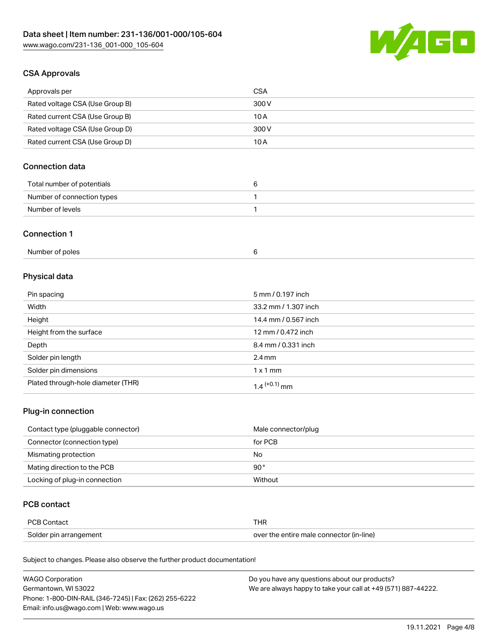

## CSA Approvals

| Approvals per                   | <b>CSA</b> |
|---------------------------------|------------|
| Rated voltage CSA (Use Group B) | 300 V      |
| Rated current CSA (Use Group B) | 10 A       |
| Rated voltage CSA (Use Group D) | 300 V      |
| Rated current CSA (Use Group D) | 10 A       |

## Connection data

| Total number of potentials |  |
|----------------------------|--|
| Number of connection types |  |
| Number of levels           |  |

#### Connection 1

| Number of poles |  |
|-----------------|--|
|-----------------|--|

# Physical data

| Pin spacing                        | 5 mm / 0.197 inch    |
|------------------------------------|----------------------|
| Width                              | 33.2 mm / 1.307 inch |
| Height                             | 14.4 mm / 0.567 inch |
| Height from the surface            | 12 mm / 0.472 inch   |
| Depth                              | 8.4 mm / 0.331 inch  |
| Solder pin length                  | $2.4 \text{ mm}$     |
| Solder pin dimensions              | $1 \times 1$ mm      |
| Plated through-hole diameter (THR) | $1.4$ $(+0.1)$ mm    |

### Plug-in connection

| Contact type (pluggable connector) | Male connector/plug |
|------------------------------------|---------------------|
| Connector (connection type)        | for PCB             |
| Mismating protection               | No                  |
| Mating direction to the PCB        | $90^{\circ}$        |
| Locking of plug-in connection      | Without             |

## PCB contact

| <b>PCB Contact</b>     | THR                                      |
|------------------------|------------------------------------------|
| Solder pin arrangement | over the entire male connector (in-line) |

| <b>WAGO Corporation</b>                                | Do you have any questions about our products?                 |
|--------------------------------------------------------|---------------------------------------------------------------|
| Germantown, WI 53022                                   | We are always happy to take your call at +49 (571) 887-44222. |
| Phone: 1-800-DIN-RAIL (346-7245)   Fax: (262) 255-6222 |                                                               |
| Email: info.us@wago.com   Web: www.wago.us             |                                                               |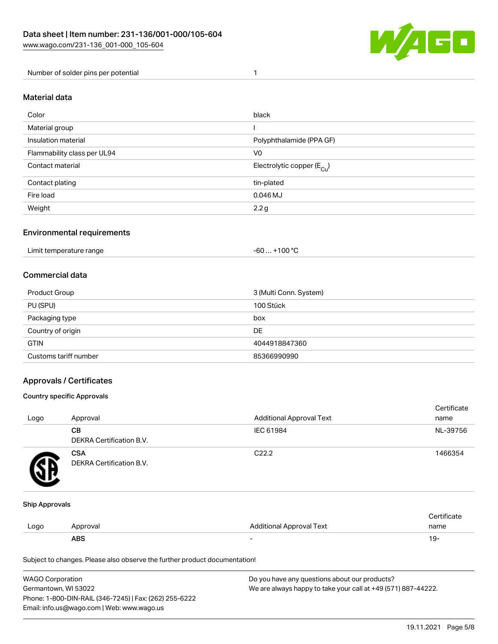

Number of solder pins per potential 1

#### Material data

| Color                       | black                                  |
|-----------------------------|----------------------------------------|
| Material group              |                                        |
| Insulation material         | Polyphthalamide (PPA GF)               |
| Flammability class per UL94 | V <sub>0</sub>                         |
| Contact material            | Electrolytic copper (E <sub>Cu</sub> ) |
| Contact plating             | tin-plated                             |
| Fire load                   | $0.046$ MJ                             |
| Weight                      | 2.2g                                   |

### Environmental requirements

Limit temperature range  $-60... +100$  °C

### Commercial data

| Product Group         | 3 (Multi Conn. System) |
|-----------------------|------------------------|
| PU (SPU)              | 100 Stück              |
| Packaging type        | box                    |
| Country of origin     | DE                     |
| <b>GTIN</b>           | 4044918847360          |
| Customs tariff number | 85366990990            |

### Approvals / Certificates

#### Country specific Approvals

| Logo | Approval                               | <b>Additional Approval Text</b> | Certificate<br>name |
|------|----------------------------------------|---------------------------------|---------------------|
|      | <b>CB</b><br>DEKRA Certification B.V.  | IEC 61984                       | NL-39756            |
|      | <b>CSA</b><br>DEKRA Certification B.V. | C <sub>22.2</sub>               | 1466354             |

#### Ship Approvals

|      | ABS      | -                        | ιУ۰         |
|------|----------|--------------------------|-------------|
| Logo | Approval | Additional Approval Text | name        |
|      |          |                          | ∵ertificate |

| <b>WAGO Corporation</b>                                | Do you have any questions about our products?                 |
|--------------------------------------------------------|---------------------------------------------------------------|
| Germantown, WI 53022                                   | We are always happy to take your call at +49 (571) 887-44222. |
| Phone: 1-800-DIN-RAIL (346-7245)   Fax: (262) 255-6222 |                                                               |
| Email: info.us@wago.com   Web: www.wago.us             |                                                               |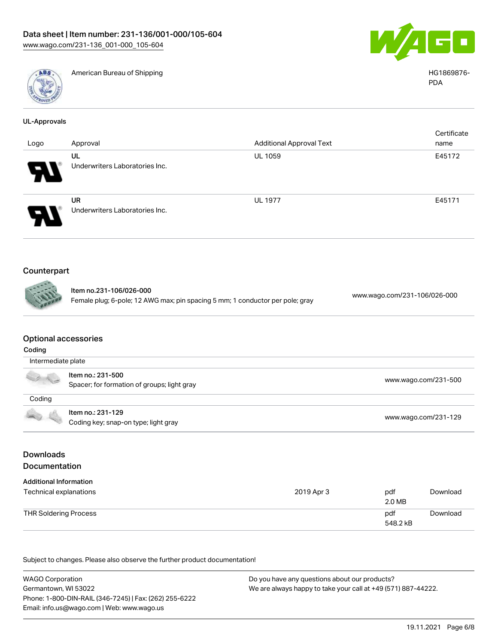

American Bureau of Shipping HG1869876-



PDA

| UL-Approvals       |                                                                                                          |                                 |                              |
|--------------------|----------------------------------------------------------------------------------------------------------|---------------------------------|------------------------------|
| Logo               | Approval                                                                                                 | <b>Additional Approval Text</b> | Certificate<br>name          |
|                    |                                                                                                          |                                 | E45172                       |
|                    | UL<br>Underwriters Laboratories Inc.                                                                     | <b>UL 1059</b>                  |                              |
|                    | <b>UR</b>                                                                                                | <b>UL 1977</b>                  | E45171                       |
|                    | Underwriters Laboratories Inc.                                                                           |                                 |                              |
| Counterpart        |                                                                                                          |                                 |                              |
|                    |                                                                                                          |                                 |                              |
|                    | Item no.231-106/026-000<br>Female plug; 6-pole; 12 AWG max; pin spacing 5 mm; 1 conductor per pole; gray |                                 | www.wago.com/231-106/026-000 |
|                    | <b>Optional accessories</b>                                                                              |                                 |                              |
| Coding             |                                                                                                          |                                 |                              |
| Intermediate plate |                                                                                                          |                                 |                              |
|                    | Item no.: 231-500                                                                                        |                                 |                              |
|                    | Spacer; for formation of groups; light gray                                                              |                                 | www.wago.com/231-500         |

| Coding |                                      |                      |
|--------|--------------------------------------|----------------------|
|        | ltem no.: 231-129                    |                      |
|        | Coding key; snap-on type; light gray | www.wago.com/231-129 |

# Downloads Documentation

| <b>Additional Information</b><br>Technical explanations | 2019 Apr 3 | pdf<br>2.0 MB   | Download |
|---------------------------------------------------------|------------|-----------------|----------|
| THR Soldering Process                                   |            | pdf<br>548.2 kB | Download |

| <b>WAGO Corporation</b>                                | Do you have any questions about our products?                 |
|--------------------------------------------------------|---------------------------------------------------------------|
| Germantown, WI 53022                                   | We are always happy to take your call at +49 (571) 887-44222. |
| Phone: 1-800-DIN-RAIL (346-7245)   Fax: (262) 255-6222 |                                                               |
| Email: info.us@wago.com   Web: www.wago.us             |                                                               |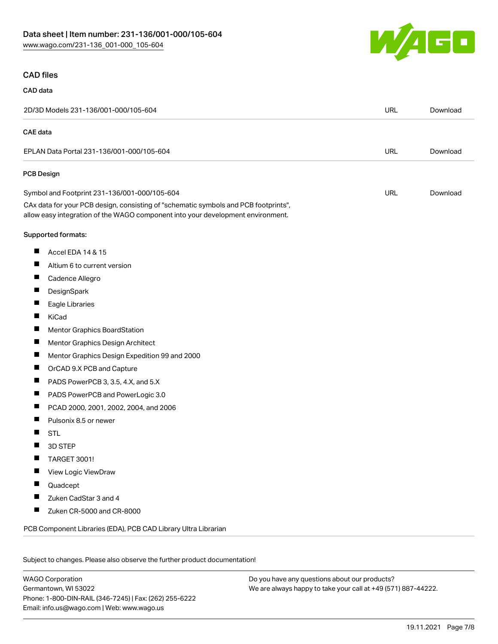

#### CAD files

#### CAD data

| 2D/3D Models 231-136/001-000/105-604                                                                                                                                   | <b>URL</b> | Download |
|------------------------------------------------------------------------------------------------------------------------------------------------------------------------|------------|----------|
| <b>CAE</b> data                                                                                                                                                        |            |          |
| EPLAN Data Portal 231-136/001-000/105-604                                                                                                                              | <b>URL</b> | Download |
| <b>PCB Design</b>                                                                                                                                                      |            |          |
| Symbol and Footprint 231-136/001-000/105-604                                                                                                                           | URL        | Download |
| CAx data for your PCB design, consisting of "schematic symbols and PCB footprints",<br>allow easy integration of the WAGO component into your development environment. |            |          |
| Supported formats:                                                                                                                                                     |            |          |
| ш<br>Accel EDA 14 & 15                                                                                                                                                 |            |          |
| ш<br>Altium 6 to current version                                                                                                                                       |            |          |
| ш<br>Cadence Allegro                                                                                                                                                   |            |          |
| ш<br>DesignSpark                                                                                                                                                       |            |          |
| ш<br>Eagle Libraries                                                                                                                                                   |            |          |
| Ш<br>KiCad                                                                                                                                                             |            |          |
| ш<br><b>Mentor Graphics BoardStation</b>                                                                                                                               |            |          |
| ш<br>Mentor Graphics Design Architect                                                                                                                                  |            |          |
| ш<br>Mentor Graphics Design Expedition 99 and 2000                                                                                                                     |            |          |
| ш<br>OrCAD 9.X PCB and Capture                                                                                                                                         |            |          |
| ш<br>PADS PowerPCB 3, 3.5, 4.X, and 5.X                                                                                                                                |            |          |
| ш<br>PADS PowerPCB and PowerLogic 3.0                                                                                                                                  |            |          |
| ш<br>PCAD 2000, 2001, 2002, 2004, and 2006                                                                                                                             |            |          |
| Pulsonix 8.5 or newer<br>Ш                                                                                                                                             |            |          |
| ш<br><b>STL</b>                                                                                                                                                        |            |          |
| 3D STEP                                                                                                                                                                |            |          |
| Ш<br><b>TARGET 3001!</b>                                                                                                                                               |            |          |
| ш<br>View Logic ViewDraw                                                                                                                                               |            |          |
| Quadcept                                                                                                                                                               |            |          |
| Zuken CadStar 3 and 4                                                                                                                                                  |            |          |
| ш<br>Zuken CR-5000 and CR-8000                                                                                                                                         |            |          |
| PCB Component Libraries (EDA), PCB CAD Library Ultra Librarian                                                                                                         |            |          |

Subject to changes. Please also observe the further product documentation!

WAGO Corporation Germantown, WI 53022 Phone: 1-800-DIN-RAIL (346-7245) | Fax: (262) 255-6222 Email: info.us@wago.com | Web: www.wago.us